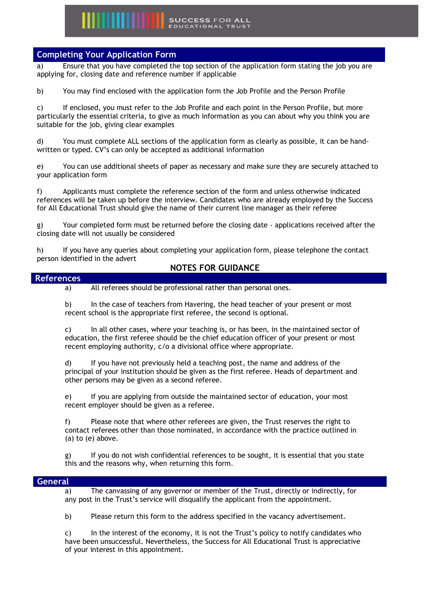## **WEIGHT SUCCESS FOR ALL**

#### **Completing Your Application Form**

a) Ensure that you have completed the top section of the application form stating the job you are applying for, closing date and reference number if applicable

b) You may find enclosed with the application form the Job Profile and the Person Profile

c) If enclosed, you must refer to the Job Profile and each point in the Person Profile, but more particularly the essential criteria, to give as much information as you can about why you think you are suitable for the job, giving clear examples

d) You must complete ALL sections of the application form as clearly as possible, it can be handwritten or typed. CV's can only be accepted as additional information

e) You can use additional sheets of paper as necessary and make sure they are securely attached to your application form

f) Applicants must complete the reference section of the form and unless otherwise indicated references will be taken up before the interview. Candidates who are already employed by the Success for All Educational Trust should give the name of their current line manager as their referee

g) Your completed form must be returned before the closing date - applications received after the closing date will not usually be considered

h) If you have any queries about completing your application form, please telephone the contact person identified in the advert

#### **NOTES FOR GUIDANCE**

#### **References**

a) All referees should be professional rather than personal ones.

b) In the case of teachers from Havering, the head teacher of your present or most recent school is the appropriate first referee, the second is optional.

c) In all other cases, where your teaching is, or has been, in the maintained sector of education, the first referee should be the chief education officer of your present or most recent employing authority, c/o a divisional office where appropriate.

d) If you have not previously held a teaching post, the name and address of the principal of your institution should be given as the first referee. Heads of department and other persons may be given as a second referee.

e) If you are applying from outside the maintained sector of education, your most recent employer should be given as a referee.

f) Please note that where other referees are given, the Trust reserves the right to contact referees other than those nominated, in accordance with the practice outlined in (a) to (e) above.

g) If you do not wish confidential references to be sought, it is essential that you state this and the reasons why, when returning this form.

#### **General**

a) The canvassing of any governor or member of the Trust, directly or indirectly, for any post in the Trust's service will disqualify the applicant from the appointment.

b) Please return this form to the address specified in the vacancy advertisement.

c) In the interest of the economy, it is not the Trust's policy to notify candidates who have been unsuccessful. Nevertheless, the Success for All Educational Trust is appreciative of your interest in this appointment.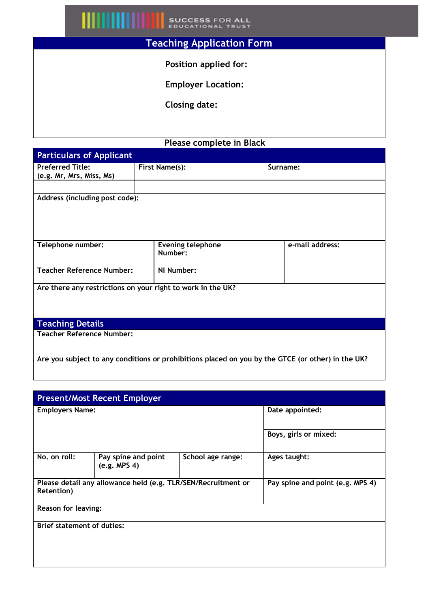# **SUCCESS FOR ALL**<br>EDUCATIONAL TRUST

| <b>Teaching Application Form</b> |                                                    |  |
|----------------------------------|----------------------------------------------------|--|
|                                  | Position applied for:<br><b>Employer Location:</b> |  |
|                                  | <b>Closing date:</b>                               |  |
|                                  |                                                    |  |
| Please complete in Black         |                                                    |  |

### **Particulars of Applicant Preferred Title: (e.g. Mr, Mrs, Miss, Ms)** First Name(s): **Surname: Surname: Address (including post code): Telephone number: Evening telephone Number: e-mail address: Teacher Reference Number: NI Number: Are there any restrictions on your right to work in the UK? Teaching Details Teacher Reference Number:**

**Are you subject to any conditions or prohibitions placed on you by the GTCE (or other) in the UK?**

| <b>Present/Most Recent Employer</b>                                                |                                     |                   |                                  |  |  |
|------------------------------------------------------------------------------------|-------------------------------------|-------------------|----------------------------------|--|--|
| <b>Employers Name:</b>                                                             |                                     |                   | Date appointed:                  |  |  |
|                                                                                    |                                     |                   | Boys, girls or mixed:            |  |  |
| No. on roll:                                                                       | Pay spine and point<br>(e.g. MPS 4) | School age range: | Ages taught:                     |  |  |
| Please detail any allowance held (e.g. TLR/SEN/Recruitment or<br><b>Retention)</b> |                                     |                   | Pay spine and point (e.g. MPS 4) |  |  |
| <b>Reason for leaving:</b>                                                         |                                     |                   |                                  |  |  |
| Brief statement of duties:                                                         |                                     |                   |                                  |  |  |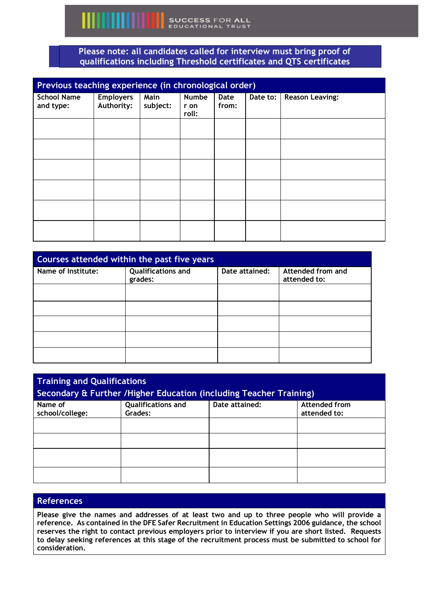#### **Please note: all candidates called for interview must bring proof of qualifications including Threshold certificates and QTS certificates**

| Previous teaching experience (in chronological order) |                                |                  |                               |               |          |                        |
|-------------------------------------------------------|--------------------------------|------------------|-------------------------------|---------------|----------|------------------------|
| <b>School Name</b><br>and type:                       | <b>Employers</b><br>Authority: | Main<br>subject: | <b>Numbe</b><br>r on<br>roll: | Date<br>from: | Date to: | <b>Reason Leaving:</b> |
|                                                       |                                |                  |                               |               |          |                        |
|                                                       |                                |                  |                               |               |          |                        |
|                                                       |                                |                  |                               |               |          |                        |
|                                                       |                                |                  |                               |               |          |                        |
|                                                       |                                |                  |                               |               |          |                        |
|                                                       |                                |                  |                               |               |          |                        |

| Courses attended within the past five years |                                      |                |                                   |
|---------------------------------------------|--------------------------------------|----------------|-----------------------------------|
| Name of Institute:                          | <b>Qualifications and</b><br>grades: | Date attained: | Attended from and<br>attended to: |
|                                             |                                      |                |                                   |
|                                             |                                      |                |                                   |
|                                             |                                      |                |                                   |
|                                             |                                      |                |                                   |
|                                             |                                      |                |                                   |

| <b>Training and Qualifications</b><br>Secondary & Further / Higher Education (including Teacher Training) |                                      |                |                                      |
|-----------------------------------------------------------------------------------------------------------|--------------------------------------|----------------|--------------------------------------|
| Name of<br>school/college:                                                                                | <b>Qualifications and</b><br>Grades: | Date attained: | <b>Attended from</b><br>attended to: |
|                                                                                                           |                                      |                |                                      |
|                                                                                                           |                                      |                |                                      |
|                                                                                                           |                                      |                |                                      |
|                                                                                                           |                                      |                |                                      |

#### **References**

**Please give the names and addresses of at least two and up to three people who will provide a reference. As contained in the DFE Safer Recruitment in Education Settings 2006 guidance, the school reserves the right to contact previous employers prior to interview if you are short listed. Requests to delay seeking references at this stage of the recruitment process must be submitted to school for consideration.**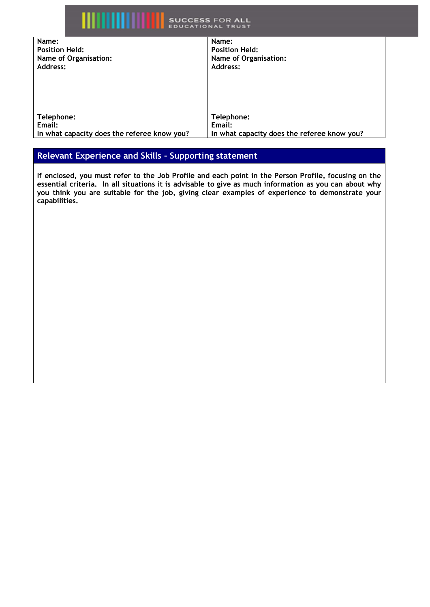| ı                                           | <b>SUCCESS FOR ALL</b><br><b>EDUCATIONAL TRUST</b> |
|---------------------------------------------|----------------------------------------------------|
| Name:                                       | Name:                                              |
| <b>Position Held:</b>                       | <b>Position Held:</b>                              |
| Name of Organisation:                       | Name of Organisation:                              |
| Address:                                    | Address:                                           |
|                                             |                                                    |
| Telephone:                                  | Telephone:                                         |
| Email:                                      | Email:                                             |
| In what capacity does the referee know you? | In what capacity does the referee know you?        |

### **Relevant Experience and Skills – Supporting statement**

**If enclosed, you must refer to the Job Profile and each point in the Person Profile, focusing on the essential criteria. In all situations it is advisable to give as much information as you can about why you think you are suitable for the job, giving clear examples of experience to demonstrate your capabilities.**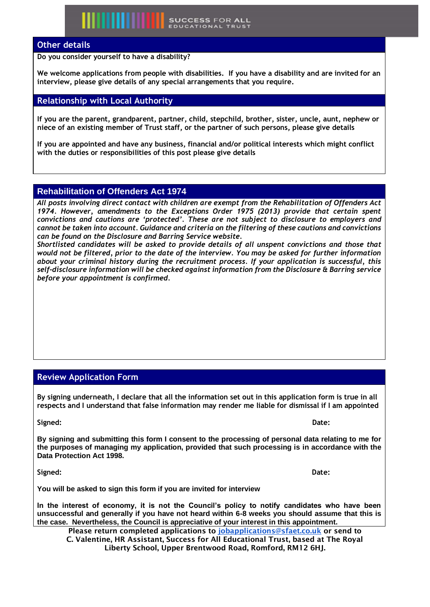#### **Other details**

**Do you consider yourself to have a disability?**

**We welcome applications from people with disabilities. If you have a disability and are invited for an interview, please give details of any special arrangements that you require.**

**SUCCESS FOR ALL** 

#### **Relationship with Local Authority**

**If you are the parent, grandparent, partner, child, stepchild, brother, sister, uncle, aunt, nephew or niece of an existing member of Trust staff, or the partner of such persons, please give details**

**If you are appointed and have any business, financial and/or political interests which might conflict with the duties or responsibilities of this post please give details**

#### **Rehabilitation of Offenders Act 1974**

*All posts involving direct contact with children are exempt from the Rehabilitation of Offenders Act 1974. However, amendments to the Exceptions Order 1975 (2013) provide that certain spent convictions and cautions are 'protected'. These are not subject to disclosure to employers and cannot be taken into account. Guidance and criteria on the filtering of these cautions and convictions can be found on the Disclosure and Barring Service website.*

*Shortlisted candidates will be asked to provide details of all unspent convictions and those that would not be filtered, prior to the date of the interview. You may be asked for further information about your criminal history during the recruitment process. If your application is successful, this self-disclosure information will be checked against information from the Disclosure & Barring service before your appointment is confirmed.*

#### **Review Application Form**

**By signing underneath, I declare that all the information set out in this application form is true in all respects and I understand that false information may render me liable for dismissal if I am appointed** 

**Signed: Date:**

**By signing and submitting this form I consent to the processing of personal data relating to me for the purposes of managing my application, provided that such processing is in accordance with the Data Protection Act 1998.**

**Signed: Date:**

**You will be asked to sign this form if you are invited for interview**

**In the interest of economy, it is not the Council's policy to notify candidates who have been unsuccessful and generally if you have not heard within 6-8 weeks you should assume that this is the case. Nevertheless, the Council is appreciative of your interest in this appointment.**

Please return completed applications to [jobapplications@sfaet.co.uk](mailto:jobapplication@sfaet.co.uk) or send to C. Valentine, HR Assistant, Success for All Educational Trust, based at The Royal Liberty School, Upper Brentwood Road, Romford, RM12 6HJ.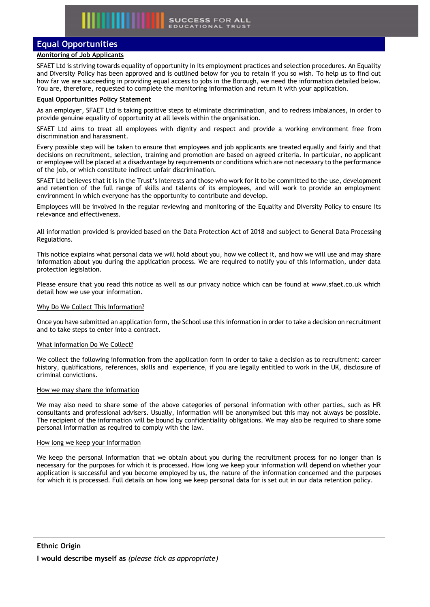#### **Equal Opportunities**

#### **Monitoring of Job Applicants**

SFAET Ltd is striving towards equality of opportunity in its employment practices and selection procedures. An Equality and Diversity Policy has been approved and is outlined below for you to retain if you so wish. To help us to find out how far we are succeeding in providing equal access to jobs in the Borough, we need the information detailed below. You are, therefore, requested to complete the monitoring information and return it with your application.

#### **Equal Opportunities Policy Statement**

As an employer, SFAET Ltd is taking positive steps to eliminate discrimination, and to redress imbalances, in order to provide genuine equality of opportunity at all levels within the organisation.

SFAET Ltd aims to treat all employees with dignity and respect and provide a working environment free from discrimination and harassment.

Every possible step will be taken to ensure that employees and job applicants are treated equally and fairly and that decisions on recruitment, selection, training and promotion are based on agreed criteria. In particular, no applicant or employee will be placed at a disadvantage by requirements or conditions which are not necessary to the performance of the job, or which constitute indirect unfair discrimination.

SFAET Ltd believes that it is in the Trust's interests and those who work for it to be committed to the use, development and retention of the full range of skills and talents of its employees, and will work to provide an employment environment in which everyone has the opportunity to contribute and develop.

Employees will be involved in the regular reviewing and monitoring of the Equality and Diversity Policy to ensure its relevance and effectiveness.

All information provided is provided based on the Data Protection Act of 2018 and subject to General Data Processing Regulations.

This notice explains what personal data we will hold about you, how we collect it, and how we will use and may share information about you during the application process. We are required to notify you of this information, under data protection legislation.

Please ensure that you read this notice as well as our privacy notice which can be found at www.sfaet.co.uk which detail how we use your information.

#### Why Do We Collect This Information?

Once you have submitted an application form, the School use this information in order to take a decision on recruitment and to take steps to enter into a contract.

#### What Information Do We Collect?

We collect the following information from the application form in order to take a decision as to recruitment: career history, qualifications, references, skills and experience, if you are legally entitled to work in the UK, disclosure of criminal convictions.

#### How we may share the information

We may also need to share some of the above categories of personal information with other parties, such as HR consultants and professional advisers. Usually, information will be anonymised but this may not always be possible. The recipient of the information will be bound by confidentiality obligations. We may also be required to share some personal information as required to comply with the law.

#### How long we keep your information

We keep the personal information that we obtain about you during the recruitment process for no longer than is necessary for the purposes for which it is processed. How long we keep your information will depend on whether your application is successful and you become employed by us, the nature of the information concerned and the purposes for which it is processed. Full details on how long we keep personal data for is set out in our data retention policy.